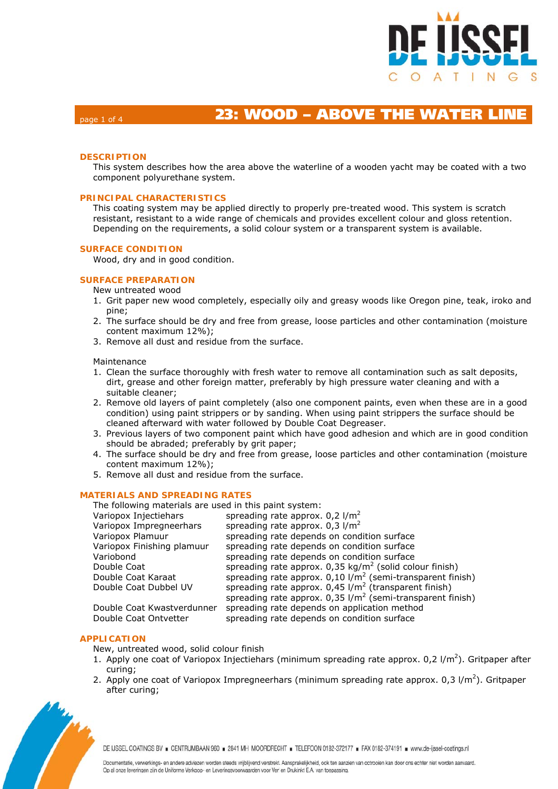

# page 1 of 4 **23: WOOD – ABOVE THE WATER LINE**

### **DESCRIPTION**

This system describes how the area above the waterline of a wooden yacht may be coated with a two component polyurethane system.

### **PRINCIPAL CHARACTERISTICS**

This coating system may be applied directly to properly pre-treated wood. This system is scratch resistant, resistant to a wide range of chemicals and provides excellent colour and gloss retention. Depending on the requirements, a solid colour system or a transparent system is available.

#### **SURFACE CONDITION**

Wood, dry and in good condition.

# **SURFACE PREPARATION**

- New untreated wood
- 1. Grit paper new wood completely, especially oily and greasy woods like Oregon pine, teak, iroko and pine;
- 2. The surface should be dry and free from grease, loose particles and other contamination (moisture content maximum 12%);
- 3. Remove all dust and residue from the surface.

#### Maintenance

- 1. Clean the surface thoroughly with fresh water to remove all contamination such as salt deposits, dirt, grease and other foreign matter, preferably by high pressure water cleaning and with a suitable cleaner;
- 2. Remove old layers of paint completely (also one component paints, even when these are in a good condition) using paint strippers or by sanding. When using paint strippers the surface should be cleaned afterward with water followed by Double Coat Degreaser.
- 3. Previous layers of two component paint which have good adhesion and which are in good condition should be abraded; preferably by grit paper;
- 4. The surface should be dry and free from grease, loose particles and other contamination (moisture content maximum 12%);
- 5. Remove all dust and residue from the surface.

# **MATERIALS AND SPREADING RATES**

| The following materials are used in this paint system: |                                                                          |  |  |  |  |
|--------------------------------------------------------|--------------------------------------------------------------------------|--|--|--|--|
| Variopox Injectiehars                                  | spreading rate approx. $0.2$ l/m <sup>2</sup>                            |  |  |  |  |
| Variopox Impregneerhars                                | spreading rate approx. $0.3$ l/m <sup>2</sup>                            |  |  |  |  |
| Variopox Plamuur                                       | spreading rate depends on condition surface                              |  |  |  |  |
| Variopox Finishing plamuur                             | spreading rate depends on condition surface                              |  |  |  |  |
| Variobond                                              | spreading rate depends on condition surface                              |  |  |  |  |
| Double Coat                                            | spreading rate approx. $0.35 \text{ kg/m}^2$ (solid colour finish)       |  |  |  |  |
| Double Coat Karaat                                     | spreading rate approx. $0,10$ I/m <sup>2</sup> (semi-transparent finish) |  |  |  |  |
| Double Coat Dubbel UV                                  | spreading rate approx. $0.45$ I/m <sup>2</sup> (transparent finish)      |  |  |  |  |
|                                                        | spreading rate approx. $0.35$ I/m <sup>2</sup> (semi-transparent finish) |  |  |  |  |
| Double Coat Kwastverdunner                             | spreading rate depends on application method                             |  |  |  |  |
| Double Coat Ontvetter                                  | spreading rate depends on condition surface                              |  |  |  |  |

### **APPLICATION**

New, untreated wood, solid colour finish

- 1. Apply one coat of Variopox Injectiehars (minimum spreading rate approx.  $0.2 \frac{1}{m^2}$ ). Gritpaper after curing;
- 2. Apply one coat of Variopox Impregneerhars (minimum spreading rate approx. 0,3  $1/m^2$ ). Gritpaper after curing;



DE IJSSEL COATINGS BV E CENTRUMBAAN 960 E 2841 MH MOORDRECHT E TELEFOON 0182-372177 E FAX 0182-374191 E www.de-ijssel-coatings.nl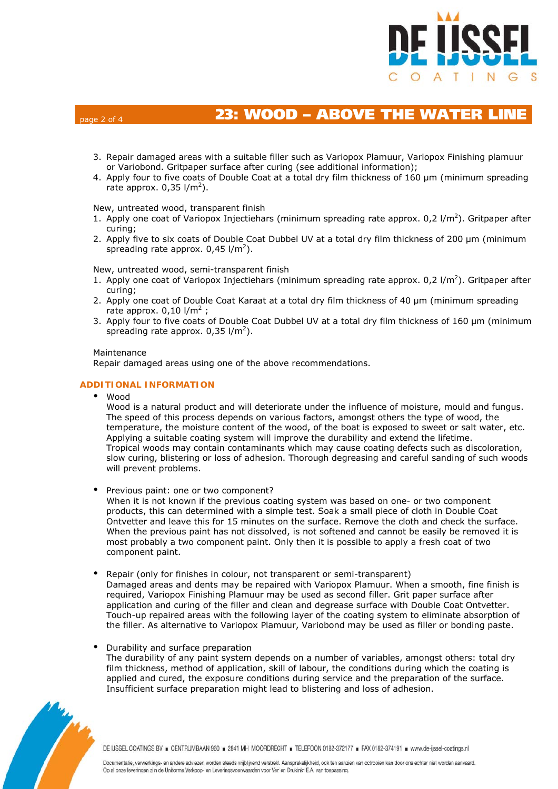

# page 2 of 4 **23: WOOD – ABOVE THE WATER LINE**

- 3. Repair damaged areas with a suitable filler such as Variopox Plamuur, Variopox Finishing plamuur or Variobond. Gritpaper surface after curing (see additional information);
- 4. Apply four to five coats of Double Coat at a total dry film thickness of 160 μm (minimum spreading rate approx.  $0,35$  l/m<sup>2</sup>).

#### New, untreated wood, transparent finish

- 1. Apply one coat of Variopox Injectiehars (minimum spreading rate approx.  $0.2 \frac{1}{m^2}$ ). Gritpaper after curing;
- 2. Apply five to six coats of Double Coat Dubbel UV at a total dry film thickness of 200 μm (minimum spreading rate approx.  $0,45$  l/m<sup>2</sup>).

New, untreated wood, semi-transparent finish

- 1. Apply one coat of Variopox Injectiehars (minimum spreading rate approx.  $0.2 \frac{1}{m^2}$ ). Gritpaper after curing;
- 2. Apply one coat of Double Coat Karaat at a total dry film thickness of 40 μm (minimum spreading rate approx.  $0,10$  l/m<sup>2</sup>;
- 3. Apply four to five coats of Double Coat Dubbel UV at a total dry film thickness of 160 μm (minimum spreading rate approx.  $0.35$  l/m<sup>2</sup>).

#### Maintenance

Repair damaged areas using one of the above recommendations.

# **ADDITIONAL INFORMATION**

Wood

Wood is a natural product and will deteriorate under the influence of moisture, mould and fungus. The speed of this process depends on various factors, amongst others the type of wood, the temperature, the moisture content of the wood, of the boat is exposed to sweet or salt water, etc. Applying a suitable coating system will improve the durability and extend the lifetime. Tropical woods may contain contaminants which may cause coating defects such as discoloration, slow curing, blistering or loss of adhesion. Thorough degreasing and careful sanding of such woods will prevent problems.

Previous paint: one or two component?

When it is not known if the previous coating system was based on one- or two component products, this can determined with a simple test. Soak a small piece of cloth in Double Coat Ontvetter and leave this for 15 minutes on the surface. Remove the cloth and check the surface. When the previous paint has not dissolved, is not softened and cannot be easily be removed it is most probably a two component paint. Only then it is possible to apply a fresh coat of two component paint.

Repair (only for finishes in colour, not transparent or semi-transparent)

Damaged areas and dents may be repaired with Variopox Plamuur. When a smooth, fine finish is required, Variopox Finishing Plamuur may be used as second filler. Grit paper surface after application and curing of the filler and clean and degrease surface with Double Coat Ontvetter. Touch-up repaired areas with the following layer of the coating system to eliminate absorption of the filler. As alternative to Variopox Plamuur, Variobond may be used as filler or bonding paste.

#### Durability and surface preparation

The durability of any paint system depends on a number of variables, amongst others: total dry film thickness, method of application, skill of labour, the conditions during which the coating is applied and cured, the exposure conditions during service and the preparation of the surface. Insufficient surface preparation might lead to blistering and loss of adhesion.



DE IJSSEL COATINGS BV = CENTRUMBAAN 960 = 2841 MH MOORDRECHT = TELEFOON 0182-372177 = FAX 0182-374191 = www.de-ijssel-coatings.nl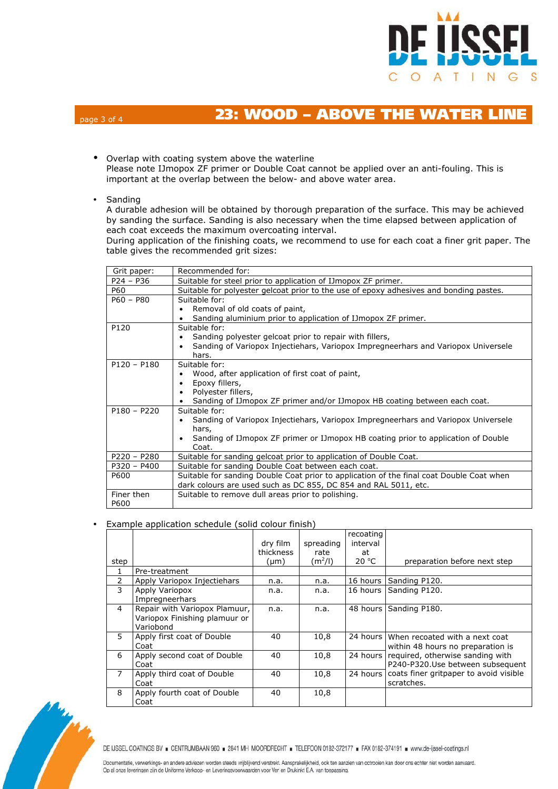

# page 3 of 4 **23: WOOD – ABOVE THE WATER LINE**

- Overlap with coating system above the waterline Please note IJmopox ZF primer or Double Coat cannot be applied over an anti-fouling. This is important at the overlap between the below- and above water area.
- Sanding

A durable adhesion will be obtained by thorough preparation of the surface. This may be achieved by sanding the surface. Sanding is also necessary when the time elapsed between application of each coat exceeds the maximum overcoating interval.

During application of the finishing coats, we recommend to use for each coat a finer grit paper. The table gives the recommended grit sizes:

| Grit paper:   | Recommended for:                                                                           |  |  |  |  |  |  |  |
|---------------|--------------------------------------------------------------------------------------------|--|--|--|--|--|--|--|
| $P24 - P36$   | Suitable for steel prior to application of IJmopox ZF primer.                              |  |  |  |  |  |  |  |
| P60           | Suitable for polyester gelcoat prior to the use of epoxy adhesives and bonding pastes.     |  |  |  |  |  |  |  |
| $P60 - P80$   | Suitable for:                                                                              |  |  |  |  |  |  |  |
|               | Removal of old coats of paint,                                                             |  |  |  |  |  |  |  |
|               | Sanding aluminium prior to application of IJmopox ZF primer.                               |  |  |  |  |  |  |  |
| P120          | Suitable for:                                                                              |  |  |  |  |  |  |  |
|               | Sanding polyester gelcoat prior to repair with fillers,                                    |  |  |  |  |  |  |  |
|               | Sanding of Variopox Injectiehars, Variopox Impregneerhars and Variopox Universele<br>hars. |  |  |  |  |  |  |  |
| $P120 - P180$ | Suitable for:                                                                              |  |  |  |  |  |  |  |
|               | Wood, after application of first coat of paint,                                            |  |  |  |  |  |  |  |
|               | Epoxy fillers,                                                                             |  |  |  |  |  |  |  |
|               | Polyester fillers,                                                                         |  |  |  |  |  |  |  |
|               | Sanding of IJmopox ZF primer and/or IJmopox HB coating between each coat.                  |  |  |  |  |  |  |  |
| $P180 - P220$ | Suitable for:                                                                              |  |  |  |  |  |  |  |
|               | Sanding of Variopox Injectiehars, Variopox Impregneerhars and Variopox Universele          |  |  |  |  |  |  |  |
|               | hars,                                                                                      |  |  |  |  |  |  |  |
|               | Sanding of IJmopox ZF primer or IJmopox HB coating prior to application of Double<br>Coat. |  |  |  |  |  |  |  |
| $P220 - P280$ | Suitable for sanding gelcoat prior to application of Double Coat.                          |  |  |  |  |  |  |  |
| P320 - P400   | Suitable for sanding Double Coat between each coat.                                        |  |  |  |  |  |  |  |
| P600          | Suitable for sanding Double Coat prior to application of the final coat Double Coat when   |  |  |  |  |  |  |  |
|               | dark colours are used such as DC 855, DC 854 and RAL 5011, etc.                            |  |  |  |  |  |  |  |
| Finer then    | Suitable to remove dull areas prior to polishing.                                          |  |  |  |  |  |  |  |
| P600          |                                                                                            |  |  |  |  |  |  |  |

# Example application schedule (solid colour finish)

|                |                                                                             | dry film          | spreading         | recoating<br>interval |                                                                      |  |  |
|----------------|-----------------------------------------------------------------------------|-------------------|-------------------|-----------------------|----------------------------------------------------------------------|--|--|
| step           |                                                                             | thickness<br>(µm) | rate<br>$(m^2/l)$ | at<br>20 °C           | preparation before next step                                         |  |  |
| 1              | Pre-treatment                                                               |                   |                   |                       |                                                                      |  |  |
| $\overline{2}$ | Apply Variopox Injectiehars                                                 | n.a.              | n.a.              | 16 hours              | Sanding P120.                                                        |  |  |
| 3              | Apply Variopox<br>Impregneerhars                                            | n.a.              | n.a.              | 16 hours              | Sanding P120.                                                        |  |  |
| 4              | Repair with Variopox Plamuur,<br>Variopox Finishing plamuur or<br>Variobond | n.a.              | n.a.              | 48 hours              | Sanding P180.                                                        |  |  |
| 5.             | Apply first coat of Double<br>Coat                                          | 40                | 10,8              | 24 hours              | When recoated with a next coat<br>within 48 hours no preparation is  |  |  |
| 6              | Apply second coat of Double<br>Coat                                         | 40                | 10,8              | 24 hours              | required, otherwise sanding with<br>P240-P320.Use between subsequent |  |  |
| $\overline{7}$ | Apply third coat of Double<br>Coat                                          | 40<br>10,8        |                   | 24 hours              | coats finer gritpaper to avoid visible<br>scratches.                 |  |  |
| 8              | Apply fourth coat of Double<br>Coat                                         | 40                | 10,8              |                       |                                                                      |  |  |



DE IJSSEL COATINGS BV = CENTRUMBAAN 960 = 2841 MH MOORDRECHT = TELEFOON 0182-372177 = FAX 0182-374191 = www.de-ijssel-coatings.nl